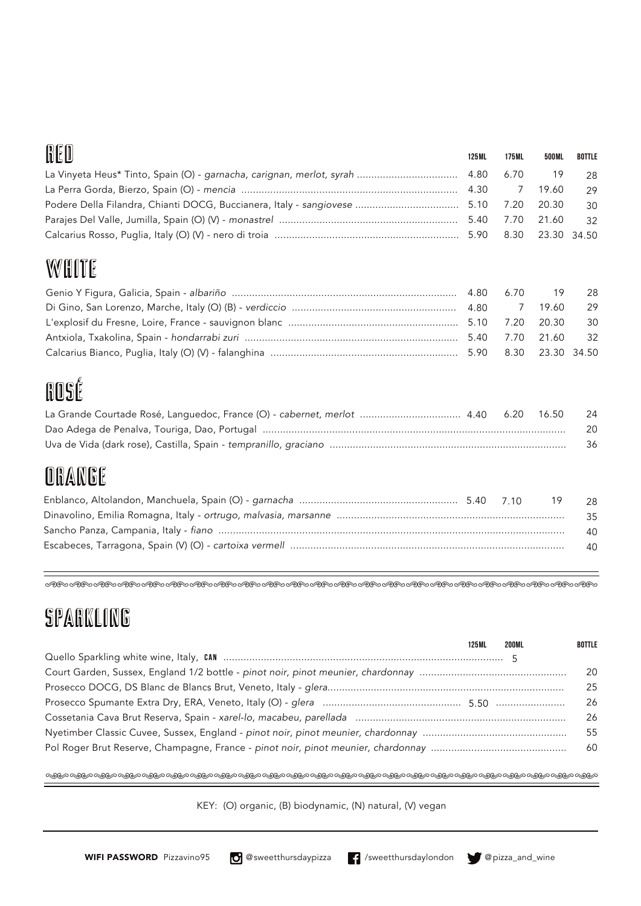### 0 C O

| WEW | 125 ML | 175ML | 500ML | BOTTLE          |
|-----|--------|-------|-------|-----------------|
|     |        |       |       | 28              |
|     |        |       | 19.60 | 29              |
|     |        |       |       | 30              |
|     |        |       |       | $\overline{32}$ |
|     |        |       |       |                 |

### **WHITE**

## ROSÉ

| La Grande Courtade Rosé, Languedoc, France (O) - cabernet, merlot  4.40 6.20 16.50 |  | - 24 |
|------------------------------------------------------------------------------------|--|------|
|                                                                                    |  | - 20 |
|                                                                                    |  | -36  |

### ORANGE

| - 28 |
|------|
| 35   |
| 40   |
| 40   |

>>>>>>>>>>>>>>>>>>>>>>>

### sparkling

| 125 ML | <b>200ML</b> | <b>BOTTLE</b> |
|--------|--------------|---------------|
|        |              |               |
|        |              | -20           |
|        |              | 25            |
|        |              | -26           |
|        |              | 26            |
|        |              | 55            |
|        |              | -60           |
|        |              |               |

>>>>>>>>>>>>>>>>>>>>>>>

KEY: (O) organic, (B) biodynamic, (N) natural, (V) vegan